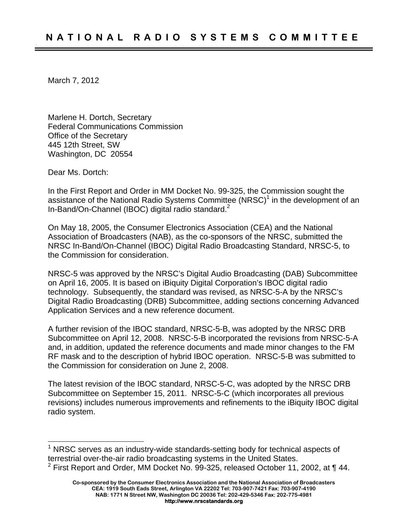March 7, 2012

Marlene H. Dortch, Secretary Federal Communications Commission Office of the Secretary 445 12th Street, SW Washington, DC 20554

Dear Ms. Dortch:

 $\overline{a}$ 

In the First Report and Order in MM Docket No. 99-325, the Commission sought the assistance of the National Radio Systems Committee (NRSC)<sup>1</sup> in the development of an In-Band/On-Channel (IBOC) digital radio standard.<sup>2</sup>

On May 18, 2005, the Consumer Electronics Association (CEA) and the National Association of Broadcasters (NAB), as the co-sponsors of the NRSC, submitted the NRSC In-Band/On-Channel (IBOC) Digital Radio Broadcasting Standard, NRSC-5, to the Commission for consideration.

NRSC-5 was approved by the NRSC's Digital Audio Broadcasting (DAB) Subcommittee on April 16, 2005. It is based on iBiquity Digital Corporation's IBOC digital radio technology. Subsequently, the standard was revised, as NRSC-5-A by the NRSC's Digital Radio Broadcasting (DRB) Subcommittee, adding sections concerning Advanced Application Services and a new reference document.

A further revision of the IBOC standard, NRSC-5-B, was adopted by the NRSC DRB Subcommittee on April 12, 2008. NRSC-5-B incorporated the revisions from NRSC-5-A and, in addition, updated the reference documents and made minor changes to the FM RF mask and to the description of hybrid IBOC operation. NRSC-5-B was submitted to the Commission for consideration on June 2, 2008.

The latest revision of the IBOC standard, NRSC-5-C, was adopted by the NRSC DRB Subcommittee on September 15, 2011. NRSC-5-C (which incorporates all previous revisions) includes numerous improvements and refinements to the iBiquity IBOC digital radio system.

 $1$  NRSC serves as an industry-wide standards-setting body for technical aspects of terrestrial over-the-air radio broadcasting systems in the United States. <sup>2</sup> First Report and Order, MM Docket No. 99-325, released October 11, 2002, at  $\P$  44.